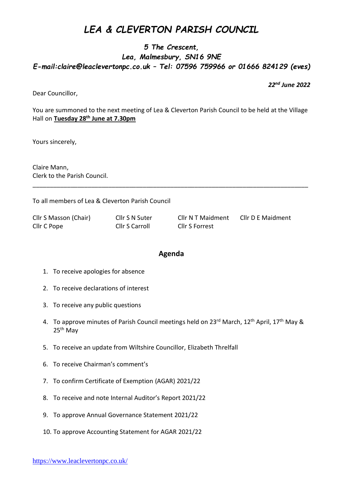## *LEA & CLEVERTON PARISH COUNCIL*

## *5 The Crescent, Lea, Malmesbury, SN16 9NE E-mail:claire@leaclevertonpc.co.uk – Tel: 07596 759966 or 01666 824129 (eves)*

*22nd June 2022*

Dear Councillor,

You are summoned to the next meeting of Lea & Cleverton Parish Council to be held at the Village Hall on **Tuesday 28 th June at 7.30pm**

\_\_\_\_\_\_\_\_\_\_\_\_\_\_\_\_\_\_\_\_\_\_\_\_\_\_\_\_\_\_\_\_\_\_\_\_\_\_\_\_\_\_\_\_\_\_\_\_\_\_\_\_\_\_\_\_\_\_\_\_\_\_\_\_\_\_\_\_\_\_\_\_\_\_\_\_\_\_\_\_

Yours sincerely,

Claire Mann, Clerk to the Parish Council.

To all members of Lea & Cleverton Parish Council

| Cllr S Masson (Chair) | Cllr S N Suter        | Cllr N T Maidment | Cllr D E Maidment |
|-----------------------|-----------------------|-------------------|-------------------|
| Cllr C Pope           | <b>Cllr S Carroll</b> | Cllr S Forrest    |                   |

## **Agenda**

- 1. To receive apologies for absence
- 2. To receive declarations of interest
- 3. To receive any public questions
- 4. To approve minutes of Parish Council meetings held on 23<sup>rd</sup> March, 12<sup>th</sup> April, 17<sup>th</sup> May & 25<sup>th</sup> May
- 5. To receive an update from Wiltshire Councillor, Elizabeth Threlfall
- 6. To receive Chairman's comment's
- 7. To confirm Certificate of Exemption (AGAR) 2021/22
- 8. To receive and note Internal Auditor's Report 2021/22
- 9. To approve Annual Governance Statement 2021/22
- 10. To approve Accounting Statement for AGAR 2021/22